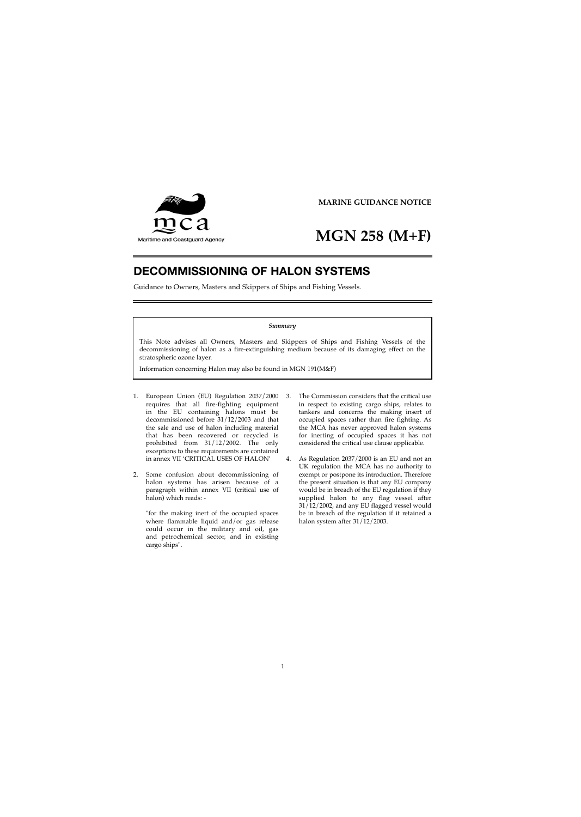

## **MGN 258 (M+F)**

## **DECOMMISSIONING OF HALON SYSTEMS**

Guidance to Owners, Masters and Skippers of Ships and Fishing Vessels.

## *Summary*

This Note advises all Owners, Masters and Skippers of Ships and Fishing Vessels of the decommissioning of halon as a fire-extinguishing medium because of its damaging effect on the stratospheric ozone layer.

Information concerning Halon may also be found in MGN 191(M&F)

- 1. European Union (EU) Regulation 2037/2000 requires that all fire-fighting equipment in the EU containing halons must be decommissioned before 31/12/2003 and that the sale and use of halon including material that has been recovered or recycled is prohibited from 31/12/2002. The only exceptions to these requirements are contained in annex VII 'CRITICAL USES OF HALON'
- 2. Some confusion about decommissioning of halon systems has arisen because of a paragraph within annex VII (critical use of halon) which reads:

"for the making inert of the occupied spaces where flammable liquid and/or gas release could occur in the military and oil, gas and petrochemical sector, and in existing cargo ships".

- 3. The Commission considers that the critical use in respect to existing cargo ships, relates to tankers and concerns the making insert of occupied spaces rather than fire fighting. As the MCA has never approved halon systems for inerting of occupied spaces it has not considered the critical use clause applicable.
- 4. As Regulation 2037/2000 is an EU and not an UK regulation the MCA has no authority to exempt or postpone its introduction. Therefore the present situation is that any EU company would be in breach of the EU regulation if they supplied halon to any flag vessel after 31/12/2002, and any EU flagged vessel would be in breach of the regulation if it retained a halon system after 31/12/2003.